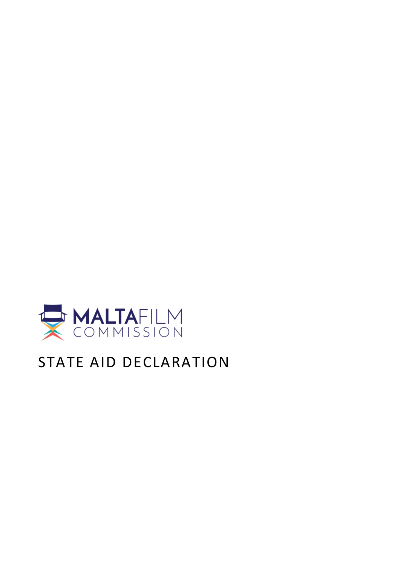

# STATE AID DECLARATION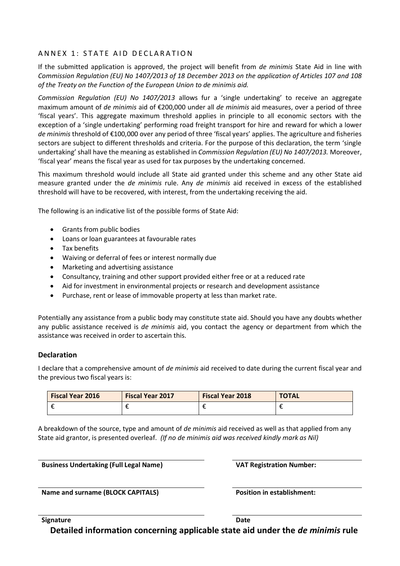## ANNEX 1: STATE AID DECLARATION

If the submitted application is approved, the project will benefit from *de minimis* State Aid in line with *Commission Regulation (EU) No 1407/2013 of 18 December 2013 on the application of Articles 107 and 108 of the Treaty on the Function of the European Union to de minimis aid.*

*Commission Regulation (EU) No 1407/2013* allows fur a 'single undertaking' to receive an aggregate maximum amount of *de minimis* aid of €200,000 under all *de minimis* aid measures, over a period of three 'fiscal years'. This aggregate maximum threshold applies in principle to all economic sectors with the exception of a 'single undertaking' performing road freight transport for hire and reward for which a lower *de minimis* threshold of €100,000 over any period of three 'fiscal years' applies. The agriculture and fisheries sectors are subject to different thresholds and criteria. For the purpose of this declaration, the term 'single undertaking' shall have the meaning as established in *Commission Regulation (EU) No 1407/2013.* Moreover, 'fiscal year' means the fiscal year as used for tax purposes by the undertaking concerned.

This maximum threshold would include all State aid granted under this scheme and any other State aid measure granted under the *de minimis* rule. Any *de minimis* aid received in excess of the established threshold will have to be recovered, with interest, from the undertaking receiving the aid.

The following is an indicative list of the possible forms of State Aid:

- Grants from public bodies
- Loans or loan guarantees at favourable rates
- Tax benefits
- Waiving or deferral of fees or interest normally due
- Marketing and advertising assistance
- Consultancy, training and other support provided either free or at a reduced rate
- Aid for investment in environmental projects or research and development assistance
- Purchase, rent or lease of immovable property at less than market rate.

Potentially any assistance from a public body may constitute state aid. Should you have any doubts whether any public assistance received is *de minimis* aid, you contact the agency or department from which the assistance was received in order to ascertain this.

### **Declaration**

I declare that a comprehensive amount of *de minimis* aid received to date during the current fiscal year and the previous two fiscal years is:

| <b>Fiscal Year 2016</b> | <b>Fiscal Year 2017</b> | <b>Fiscal Year 2018</b> | <b>TOTAL</b> |
|-------------------------|-------------------------|-------------------------|--------------|
|                         |                         |                         |              |

A breakdown of the source, type and amount of *de minimis* aid received as well as that applied from any State aid grantor, is presented overleaf. *(If no de minimis aid was received kindly mark as Nil)*

**Business Undertaking (Full Legal Name) VAT Registration Number:**

**Name and surname (BLOCK CAPITALS) Position in establishment:**

**Signature** Date

**Detailed information concerning applicable state aid under the** *de minimis* **rule**